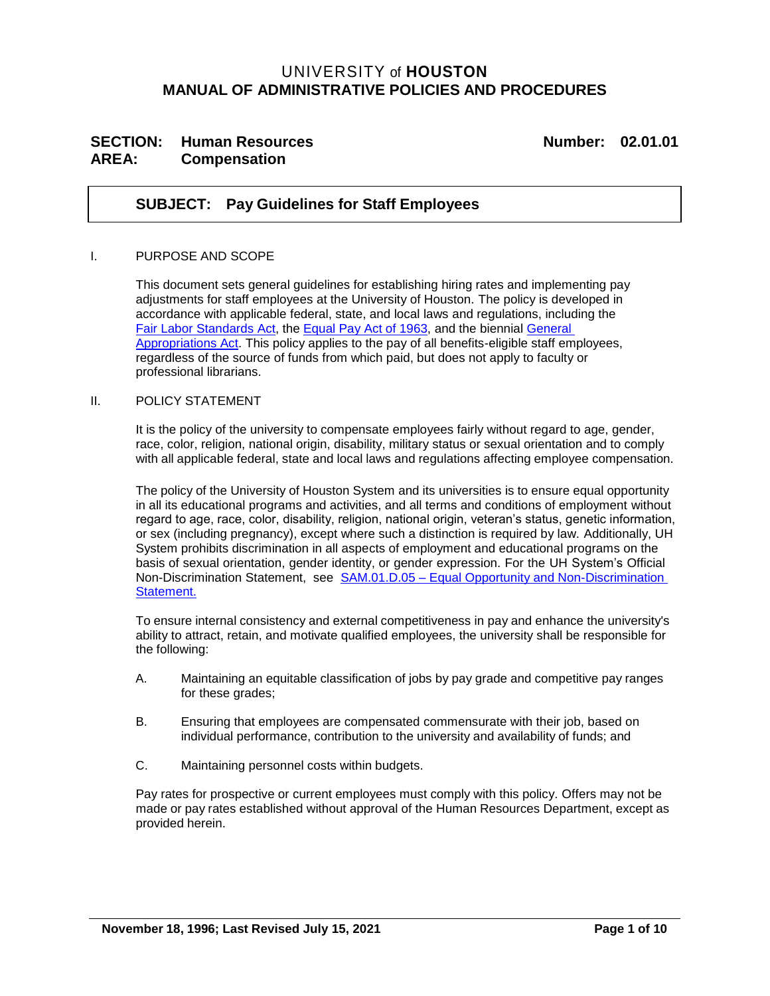# UNIVERSITY of **HOUSTON MANUAL OF ADMINISTRATIVE POLICIES AND PROCEDURES**

## **SECTION: Human Resources Number: 02.01.01 AREA: Compensation**

## **SUBJECT: Pay Guidelines for Staff Employees**

#### I. PURPOSE AND SCOPE

This document sets general guidelines for establishing hiring rates and implementing pay adjustments for staff employees at the University of Houston. The policy is developed in accordance with applicable federal, state, and local laws and regulations, including the Fair Labor [Standards](https://www.dol.gov/agencies/whd/flsa) Act, the [Equal Pay](http://www.eeoc.gov/laws/statutes/epa.cfm) Act of 1963, and the biennial [General](http://www.lbb.state.tx.us/)  [Appropriations Act.](http://www.lbb.state.tx.us/) This policy applies to the pay of all benefits-eligible staff employees, regardless of the source of funds from which paid, but does not apply to faculty or professional librarians.

#### II. POLICY STATEMENT

It is the policy of the university to compensate employees fairly without regard to age, gender, race, color, religion, national origin, disability, military status or sexual orientation and to comply with all applicable federal, state and local laws and regulations affecting employee compensation.

The policy of the University of Houston System and its universities is to ensure equal opportunity in all its educational programs and activities, and all terms and conditions of employment without regard to age, race, color, disability, religion, national origin, veteran's status, genetic information, or sex (including pregnancy), except where such a distinction is required by law. Additionally, UH System prohibits discrimination in all aspects of employment and educational programs on the basis of sexual orientation, gender identity, or gender expression. For the UH System's Official Non-Discrimination Statement, see SAM.01.D.05 – [Equal Opportunity and Non-Discrimination](https://uhsystem.edu/compliance-ethics/_docs/sam/01/1d51.pdf)  [Statement.](https://uhsystem.edu/compliance-ethics/_docs/sam/01/1d51.pdf)

To ensure internal consistency and external competitiveness in pay and enhance the university's ability to attract, retain, and motivate qualified employees, the university shall be responsible for the following:

- A. Maintaining an equitable classification of jobs by pay grade and competitive pay ranges for these grades;
- B. Ensuring that employees are compensated commensurate with their job, based on individual performance, contribution to the university and availability of funds; and
- C. Maintaining personnel costs within budgets.

Pay rates for prospective or current employees must comply with this policy. Offers may not be made or pay rates established without approval of the Human Resources Department, except as provided herein.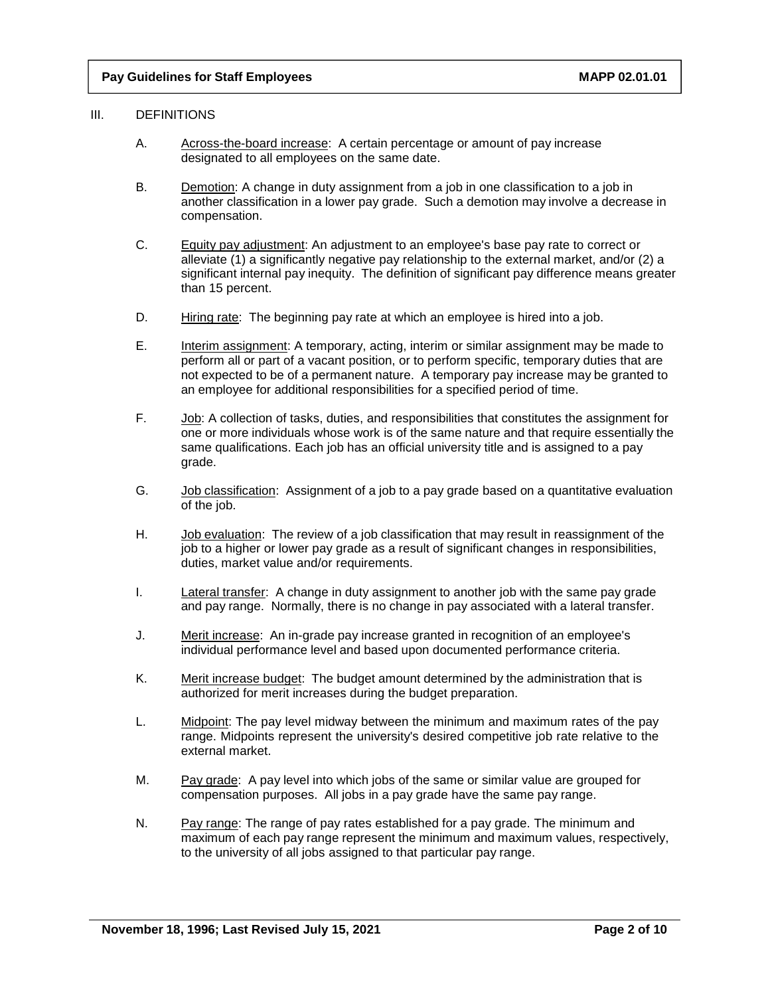#### III. DEFINITIONS

- A. Across-the-board increase: A certain percentage or amount of pay increase designated to all employees on the same date.
- B. Demotion: A change in duty assignment from a job in one classification to a job in another classification in a lower pay grade. Such a demotion may involve a decrease in compensation.
- C. Equity pay adjustment: An adjustment to an employee's base pay rate to correct or alleviate (1) a significantly negative pay relationship to the external market, and/or (2) a significant internal pay inequity. The definition of significant pay difference means greater than 15 percent.
- D. Hiring rate: The beginning pay rate at which an employee is hired into a job.
- E. Interim assignment: A temporary, acting, interim or similar assignment may be made to perform all or part of a vacant position, or to perform specific, temporary duties that are not expected to be of a permanent nature. A temporary pay increase may be granted to an employee for additional responsibilities for a specified period of time.
- F. Job: A collection of tasks, duties, and responsibilities that constitutes the assignment for one or more individuals whose work is of the same nature and that require essentially the same qualifications. Each job has an official university title and is assigned to a pay grade.
- G. Job classification: Assignment of a job to a pay grade based on a quantitative evaluation of the job.
- H. Job evaluation: The review of a job classification that may result in reassignment of the job to a higher or lower pay grade as a result of significant changes in responsibilities, duties, market value and/or requirements.
- I. Lateral transfer: A change in duty assignment to another job with the same pay grade and pay range. Normally, there is no change in pay associated with a lateral transfer.
- J. Merit increase: An in-grade pay increase granted in recognition of an employee's individual performance level and based upon documented performance criteria.
- K. Merit increase budget: The budget amount determined by the administration that is authorized for merit increases during the budget preparation.
- L. Midpoint: The pay level midway between the minimum and maximum rates of the pay range. Midpoints represent the university's desired competitive job rate relative to the external market.
- M. Pay grade: A pay level into which jobs of the same or similar value are grouped for compensation purposes. All jobs in a pay grade have the same pay range.
- N. Pay range: The range of pay rates established for a pay grade. The minimum and maximum of each pay range represent the minimum and maximum values, respectively, to the university of all jobs assigned to that particular pay range.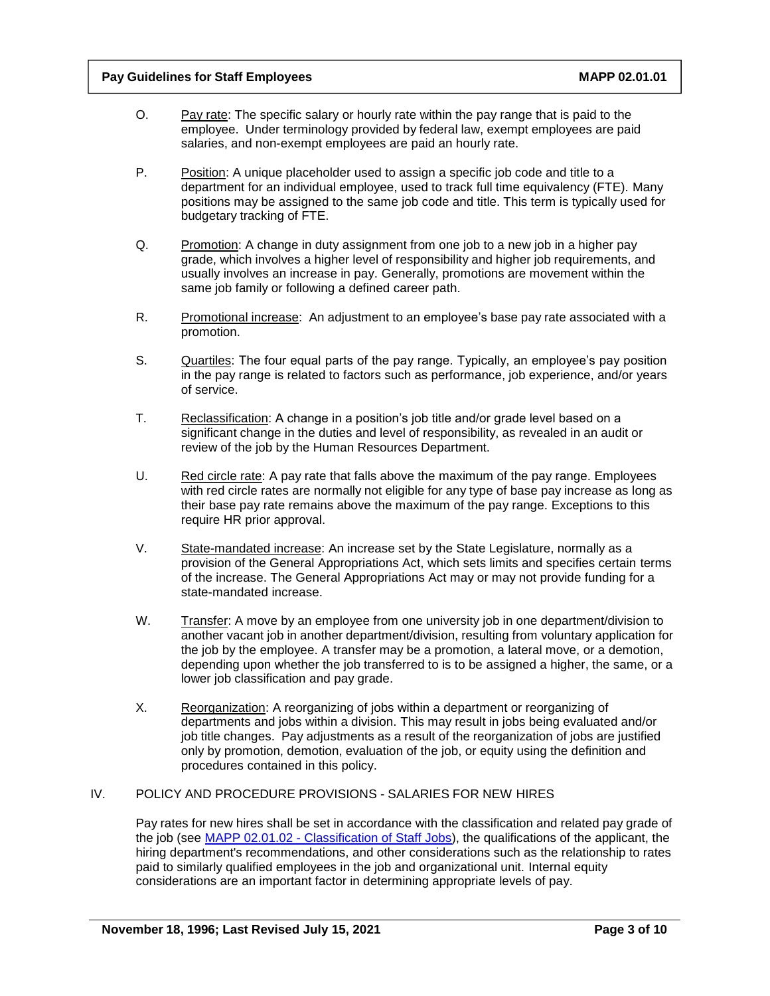- O. Pay rate: The specific salary or hourly rate within the pay range that is paid to the employee. Under terminology provided by federal law, exempt employees are paid salaries, and non-exempt employees are paid an hourly rate.
- P. Position: A unique placeholder used to assign a specific job code and title to a department for an individual employee, used to track full time equivalency (FTE). Many positions may be assigned to the same job code and title. This term is typically used for budgetary tracking of FTE.
- Q. Promotion: A change in duty assignment from one job to a new job in a higher pay grade, which involves a higher level of responsibility and higher job requirements, and usually involves an increase in pay. Generally, promotions are movement within the same job family or following a defined career path.
- R. Promotional increase: An adjustment to an employee's base pay rate associated with a promotion.
- S. Quartiles: The four equal parts of the pay range. Typically, an employee's pay position in the pay range is related to factors such as performance, job experience, and/or years of service.
- T. Reclassification: A change in a position's job title and/or grade level based on a significant change in the duties and level of responsibility, as revealed in an audit or review of the job by the Human Resources Department.
- U. Red circle rate: A pay rate that falls above the maximum of the pay range. Employees with red circle rates are normally not eligible for any type of base pay increase as long as their base pay rate remains above the maximum of the pay range. Exceptions to this require HR prior approval.
- V. State-mandated increase: An increase set by the State Legislature, normally as a provision of the General Appropriations Act, which sets limits and specifies certain terms of the increase. The General Appropriations Act may or may not provide funding for a state-mandated increase.
- W. Transfer: A move by an employee from one university job in one department/division to another vacant job in another department/division, resulting from voluntary application for the job by the employee. A transfer may be a promotion, a lateral move, or a demotion, depending upon whether the job transferred to is to be assigned a higher, the same, or a lower job classification and pay grade.
- X. Reorganization: A reorganizing of jobs within a department or reorganizing of departments and jobs within a division. This may result in jobs being evaluated and/or job title changes. Pay adjustments as a result of the reorganization of jobs are justified only by promotion, demotion, evaluation of the job, or equity using the definition and procedures contained in this policy.

#### IV. POLICY AND PROCEDURE PROVISIONS - SALARIES FOR NEW HIRES

Pay rates for new hires shall be set in accordance with the classification and related pay grade of the job (see MAPP 02.01.02 - [Classification of Staff Jobs\)](https://www.uh.edu/policies/_docs/mapp/02/020102.pdf), the qualifications of the applicant, the hiring department's recommendations, and other considerations such as the relationship to rates paid to similarly qualified employees in the job and organizational unit. Internal equity considerations are an important factor in determining appropriate levels of pay.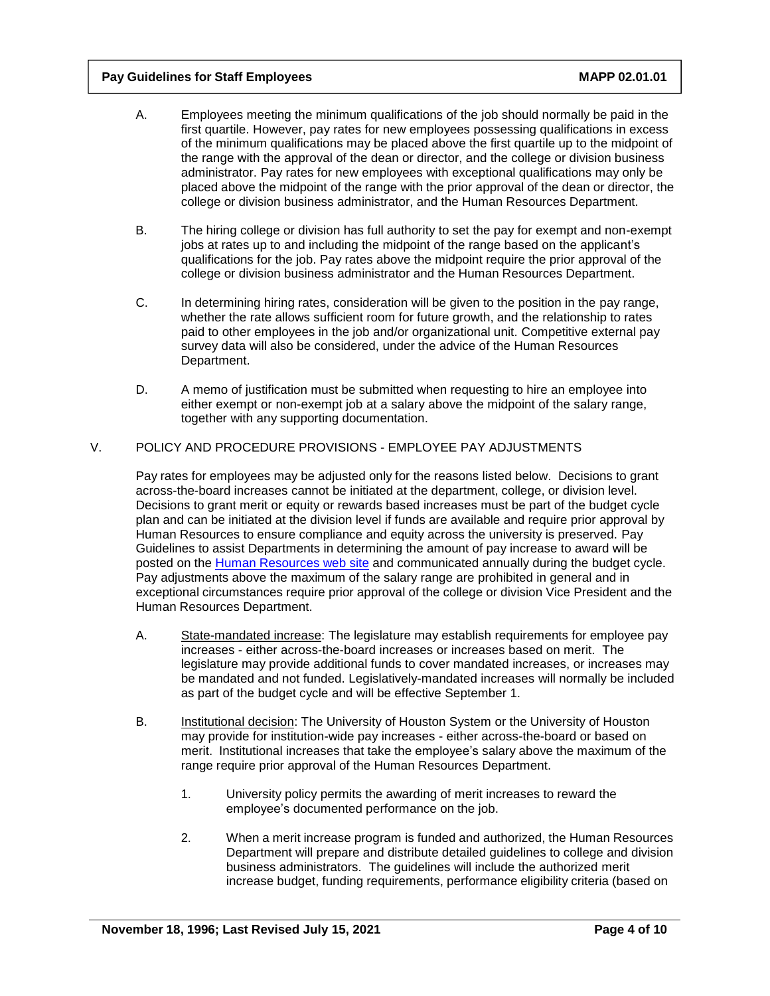## **Pay Guidelines for Staff Employees MAPP 02.01.01**

- A. Employees meeting the minimum qualifications of the job should normally be paid in the first quartile. However, pay rates for new employees possessing qualifications in excess of the minimum qualifications may be placed above the first quartile up to the midpoint of the range with the approval of the dean or director, and the college or division business administrator. Pay rates for new employees with exceptional qualifications may only be placed above the midpoint of the range with the prior approval of the dean or director, the college or division business administrator, and the Human Resources Department.
- B. The hiring college or division has full authority to set the pay for exempt and non-exempt jobs at rates up to and including the midpoint of the range based on the applicant's qualifications for the job. Pay rates above the midpoint require the prior approval of the college or division business administrator and the Human Resources Department.
- C. In determining hiring rates, consideration will be given to the position in the pay range, whether the rate allows sufficient room for future growth, and the relationship to rates paid to other employees in the job and/or organizational unit. Competitive external pay survey data will also be considered, under the advice of the Human Resources Department.
- D. A memo of justification must be submitted when requesting to hire an employee into either exempt or non-exempt job at a salary above the midpoint of the salary range, together with any supporting documentation.

## V. POLICY AND PROCEDURE PROVISIONS - EMPLOYEE PAY ADJUSTMENTS

Pay rates for employees may be adjusted only for the reasons listed below. Decisions to grant across-the-board increases cannot be initiated at the department, college, or division level. Decisions to grant merit or equity or rewards based increases must be part of the budget cycle plan and can be initiated at the division level if funds are available and require prior approval by Human Resources to ensure compliance and equity across the university is preserved. Pay Guidelines to assist Departments in determining the amount of pay increase to award will be posted on the [Human Resources web site](http://www.uh.edu/human-resources/) and communicated annually during the budget cycle. Pay adjustments above the maximum of the salary range are prohibited in general and in exceptional circumstances require prior approval of the college or division Vice President and the Human Resources Department.

- A. State-mandated increase: The legislature may establish requirements for employee pay increases - either across-the-board increases or increases based on merit. The legislature may provide additional funds to cover mandated increases, or increases may be mandated and not funded. Legislatively-mandated increases will normally be included as part of the budget cycle and will be effective September 1.
- B. Institutional decision: The University of Houston System or the University of Houston may provide for institution-wide pay increases - either across-the-board or based on merit. Institutional increases that take the employee's salary above the maximum of the range require prior approval of the Human Resources Department.
	- 1. University policy permits the awarding of merit increases to reward the employee's documented performance on the job.
	- 2. When a merit increase program is funded and authorized, the Human Resources Department will prepare and distribute detailed guidelines to college and division business administrators. The guidelines will include the authorized merit increase budget, funding requirements, performance eligibility criteria (based on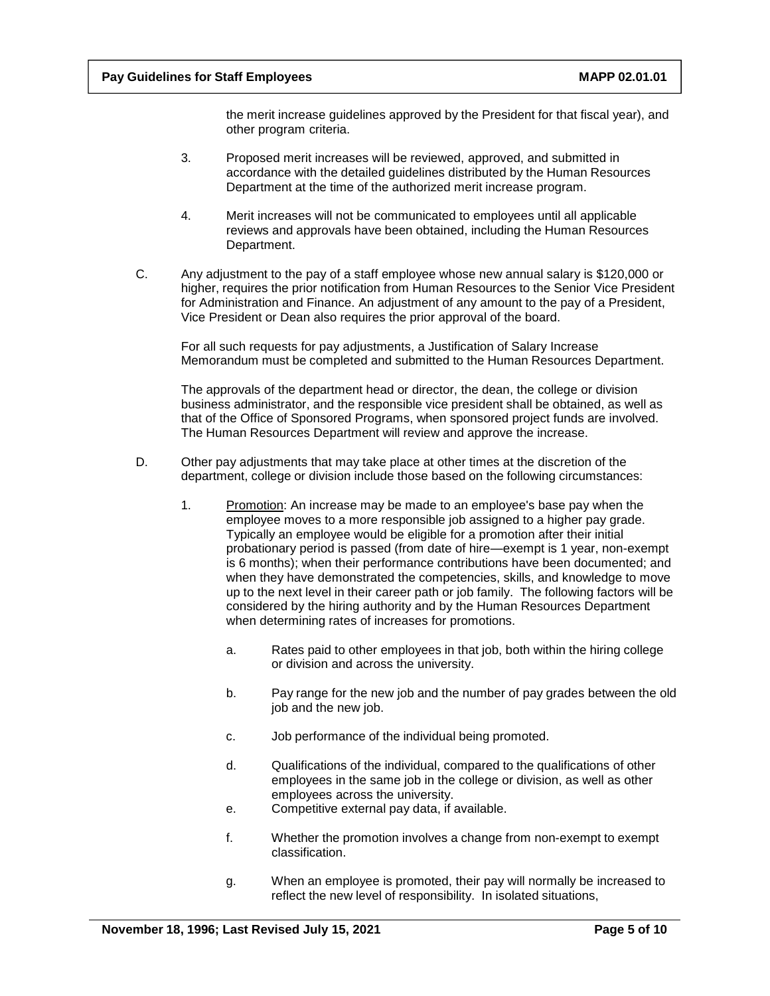the merit increase guidelines approved by the President for that fiscal year), and other program criteria.

- 3. Proposed merit increases will be reviewed, approved, and submitted in accordance with the detailed guidelines distributed by the Human Resources Department at the time of the authorized merit increase program.
- 4. Merit increases will not be communicated to employees until all applicable reviews and approvals have been obtained, including the Human Resources Department.
- C. Any adjustment to the pay of a staff employee whose new annual salary is \$120,000 or higher, requires the prior notification from Human Resources to the Senior Vice President for Administration and Finance. An adjustment of any amount to the pay of a President, Vice President or Dean also requires the prior approval of the board.

For all such requests for pay adjustments, a Justification of Salary Increase Memorandum must be completed and submitted to the Human Resources Department.

The approvals of the department head or director, the dean, the college or division business administrator, and the responsible vice president shall be obtained, as well as that of the Office of Sponsored Programs, when sponsored project funds are involved. The Human Resources Department will review and approve the increase.

- D. Other pay adjustments that may take place at other times at the discretion of the department, college or division include those based on the following circumstances:
	- 1. Promotion: An increase may be made to an employee's base pay when the employee moves to a more responsible job assigned to a higher pay grade. Typically an employee would be eligible for a promotion after their initial probationary period is passed (from date of hire—exempt is 1 year, non-exempt is 6 months); when their performance contributions have been documented; and when they have demonstrated the competencies, skills, and knowledge to move up to the next level in their career path or job family. The following factors will be considered by the hiring authority and by the Human Resources Department when determining rates of increases for promotions.
		- a. Rates paid to other employees in that job, both within the hiring college or division and across the university.
		- b. Pay range for the new job and the number of pay grades between the old job and the new job.
		- c. Job performance of the individual being promoted.
		- d. Qualifications of the individual, compared to the qualifications of other employees in the same job in the college or division, as well as other employees across the university.
		- e. Competitive external pay data, if available.
		- f. Whether the promotion involves a change from non-exempt to exempt classification.
		- g. When an employee is promoted, their pay will normally be increased to reflect the new level of responsibility. In isolated situations,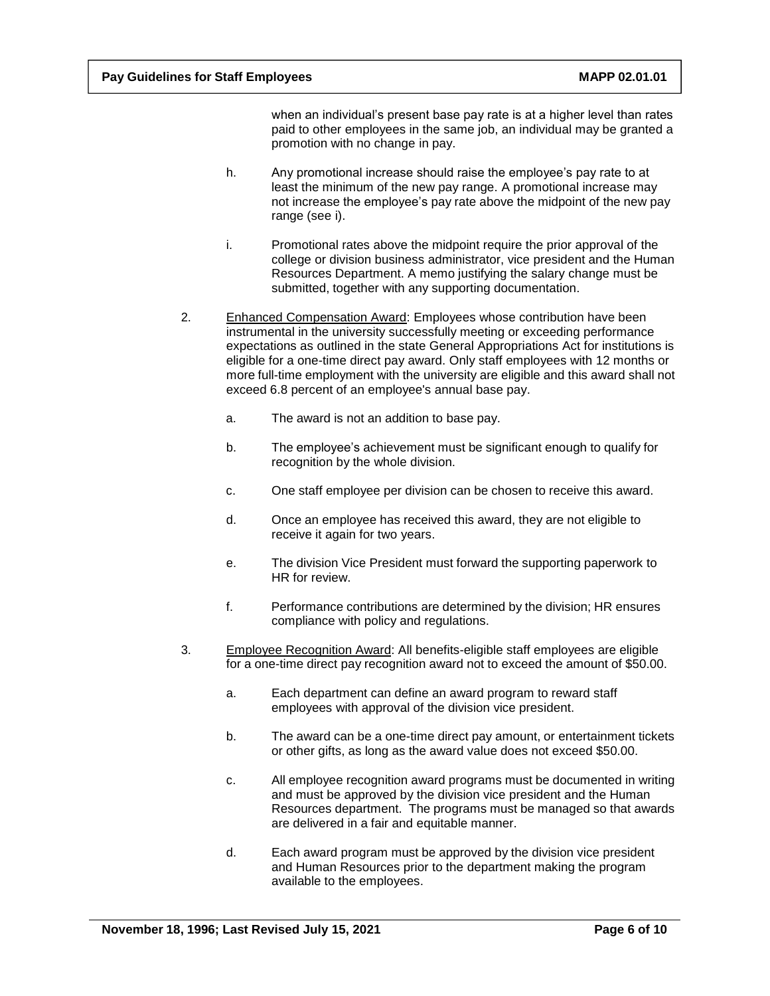when an individual's present base pay rate is at a higher level than rates paid to other employees in the same job, an individual may be granted a promotion with no change in pay.

- h. Any promotional increase should raise the employee's pay rate to at least the minimum of the new pay range. A promotional increase may not increase the employee's pay rate above the midpoint of the new pay range (see i).
- i. Promotional rates above the midpoint require the prior approval of the college or division business administrator, vice president and the Human Resources Department. A memo justifying the salary change must be submitted, together with any supporting documentation.
- 2. Enhanced Compensation Award: Employees whose contribution have been instrumental in the university successfully meeting or exceeding performance expectations as outlined in the state General Appropriations Act for institutions is eligible for a one-time direct pay award. Only staff employees with 12 months or more full-time employment with the university are eligible and this award shall not exceed 6.8 percent of an employee's annual base pay.
	- a. The award is not an addition to base pay.
	- b. The employee's achievement must be significant enough to qualify for recognition by the whole division.
	- c. One staff employee per division can be chosen to receive this award.
	- d. Once an employee has received this award, they are not eligible to receive it again for two years.
	- e. The division Vice President must forward the supporting paperwork to HR for review.
	- f. Performance contributions are determined by the division; HR ensures compliance with policy and regulations.
- 3. Employee Recognition Award: All benefits-eligible staff employees are eligible for a one-time direct pay recognition award not to exceed the amount of \$50.00.
	- a. Each department can define an award program to reward staff employees with approval of the division vice president.
	- b. The award can be a one-time direct pay amount, or entertainment tickets or other gifts, as long as the award value does not exceed \$50.00.
	- c. All employee recognition award programs must be documented in writing and must be approved by the division vice president and the Human Resources department. The programs must be managed so that awards are delivered in a fair and equitable manner.
	- d. Each award program must be approved by the division vice president and Human Resources prior to the department making the program available to the employees.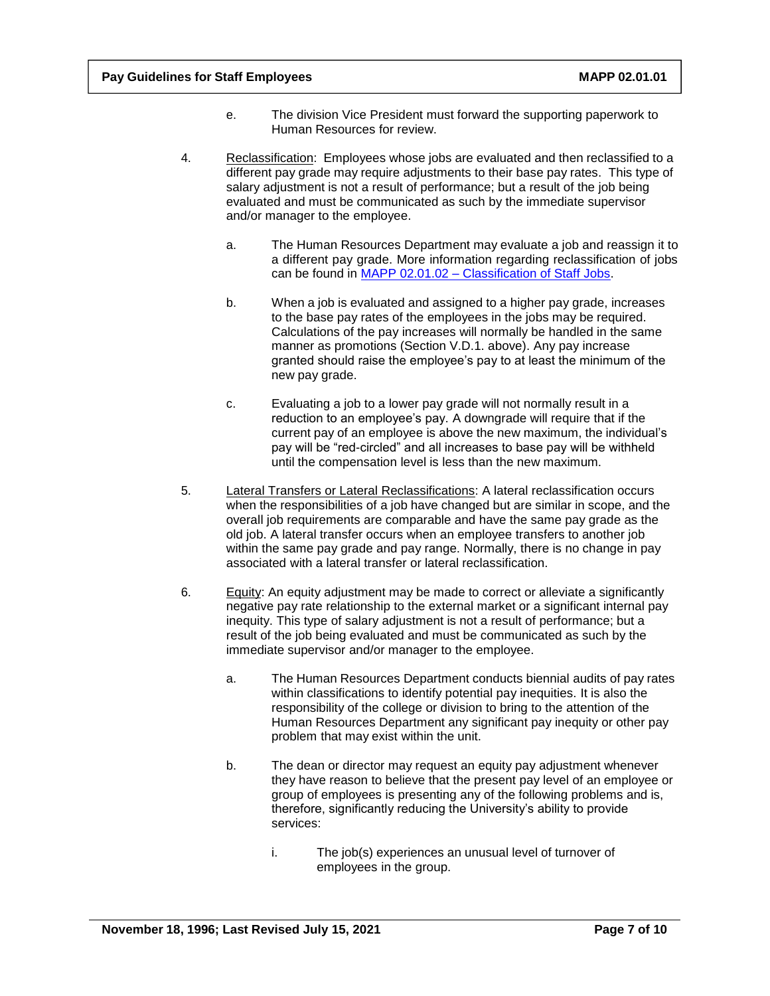- e. The division Vice President must forward the supporting paperwork to Human Resources for review.
- 4. Reclassification: Employees whose jobs are evaluated and then reclassified to a different pay grade may require adjustments to their base pay rates. This type of salary adjustment is not a result of performance; but a result of the job being evaluated and must be communicated as such by the immediate supervisor and/or manager to the employee.
	- a. The Human Resources Department may evaluate a job and reassign it to a different pay grade. More information regarding reclassification of jobs can be found in [MAPP 02.01.02 –](https://www.uh.edu/policies/_docs/mapp/02/020102.pdf) Classification of Staff Jobs.
	- b. When a job is evaluated and assigned to a higher pay grade, increases to the base pay rates of the employees in the jobs may be required. Calculations of the pay increases will normally be handled in the same manner as promotions (Section V.D.1. above). Any pay increase granted should raise the employee's pay to at least the minimum of the new pay grade.
	- c. Evaluating a job to a lower pay grade will not normally result in a reduction to an employee's pay. A downgrade will require that if the current pay of an employee is above the new maximum, the individual's pay will be "red-circled" and all increases to base pay will be withheld until the compensation level is less than the new maximum.
- 5. Lateral Transfers or Lateral Reclassifications: A lateral reclassification occurs when the responsibilities of a job have changed but are similar in scope, and the overall job requirements are comparable and have the same pay grade as the old job. A lateral transfer occurs when an employee transfers to another job within the same pay grade and pay range. Normally, there is no change in pay associated with a lateral transfer or lateral reclassification.
- 6. Equity: An equity adjustment may be made to correct or alleviate a significantly negative pay rate relationship to the external market or a significant internal pay inequity. This type of salary adjustment is not a result of performance; but a result of the job being evaluated and must be communicated as such by the immediate supervisor and/or manager to the employee.
	- a. The Human Resources Department conducts biennial audits of pay rates within classifications to identify potential pay inequities. It is also the responsibility of the college or division to bring to the attention of the Human Resources Department any significant pay inequity or other pay problem that may exist within the unit.
	- b. The dean or director may request an equity pay adjustment whenever they have reason to believe that the present pay level of an employee or group of employees is presenting any of the following problems and is, therefore, significantly reducing the University's ability to provide services:
		- i. The job(s) experiences an unusual level of turnover of employees in the group.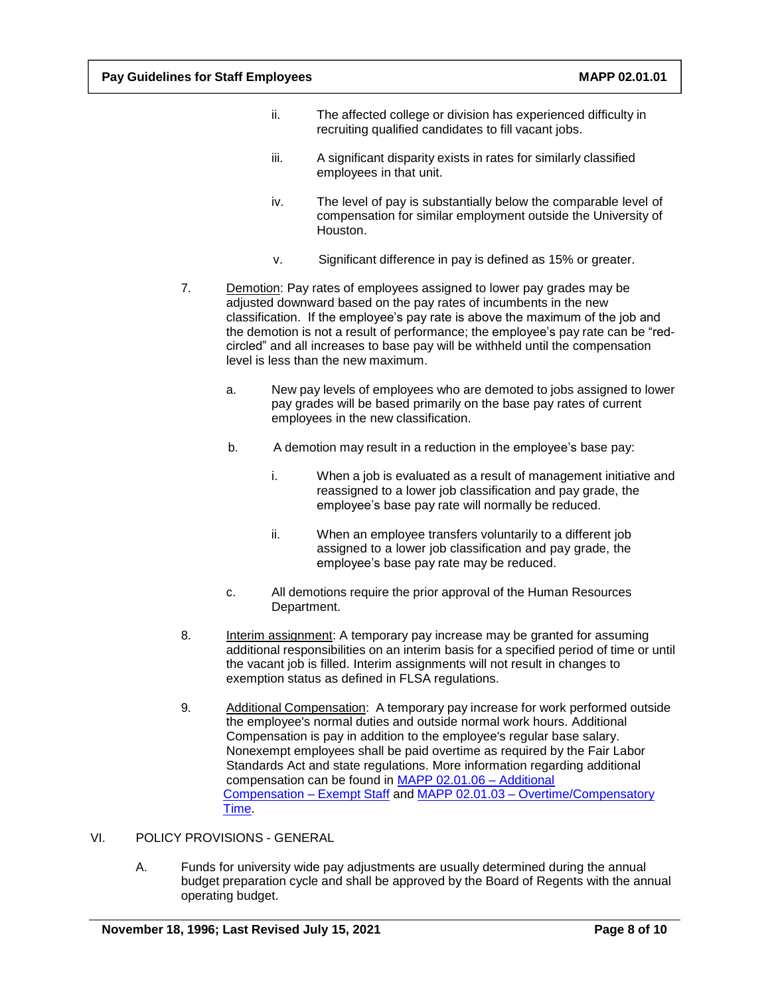- ii. The affected college or division has experienced difficulty in recruiting qualified candidates to fill vacant jobs.
- iii. A significant disparity exists in rates for similarly classified employees in that unit.
- iv. The level of pay is substantially below the comparable level of compensation for similar employment outside the University of Houston.
- v. Significant difference in pay is defined as 15% or greater.
- 7. Demotion: Pay rates of employees assigned to lower pay grades may be adjusted downward based on the pay rates of incumbents in the new classification. If the employee's pay rate is above the maximum of the job and the demotion is not a result of performance; the employee's pay rate can be "redcircled" and all increases to base pay will be withheld until the compensation level is less than the new maximum.
	- a. New pay levels of employees who are demoted to jobs assigned to lower pay grades will be based primarily on the base pay rates of current employees in the new classification.
	- b. A demotion may result in a reduction in the employee's base pay:
		- i. When a job is evaluated as a result of management initiative and reassigned to a lower job classification and pay grade, the employee's base pay rate will normally be reduced.
		- ii. When an employee transfers voluntarily to a different job assigned to a lower job classification and pay grade, the employee's base pay rate may be reduced.
	- c. All demotions require the prior approval of the Human Resources Department.
- 8. Interim assignment: A temporary pay increase may be granted for assuming additional responsibilities on an interim basis for a specified period of time or until the vacant job is filled. Interim assignments will not result in changes to exemption status as defined in FLSA regulations.
- 9. Additional Compensation: A temporary pay increase for work performed outside the employee's normal duties and outside normal work hours. Additional Compensation is pay in addition to the employee's regular base salary. Nonexempt employees shall be paid overtime as required by the Fair Labor Standards Act and state regulations. More information regarding additional compensation can be found in MAPP 02.01.06 – Additional Compensation – Exempt Staff and MAPP 02.01.03 – [Overtime/Compensatory](https://www.uh.edu/policies/_docs/mapp/02/020303.pdf) [Time.](http://www.uh.edu/af/universityservices/policies/mapp/02/020103.pdf)

## VI. POLICY PROVISIONS - GENERAL

A. Funds for university wide pay adjustments are usually determined during the annual budget preparation cycle and shall be approved by the Board of Regents with the annual operating budget.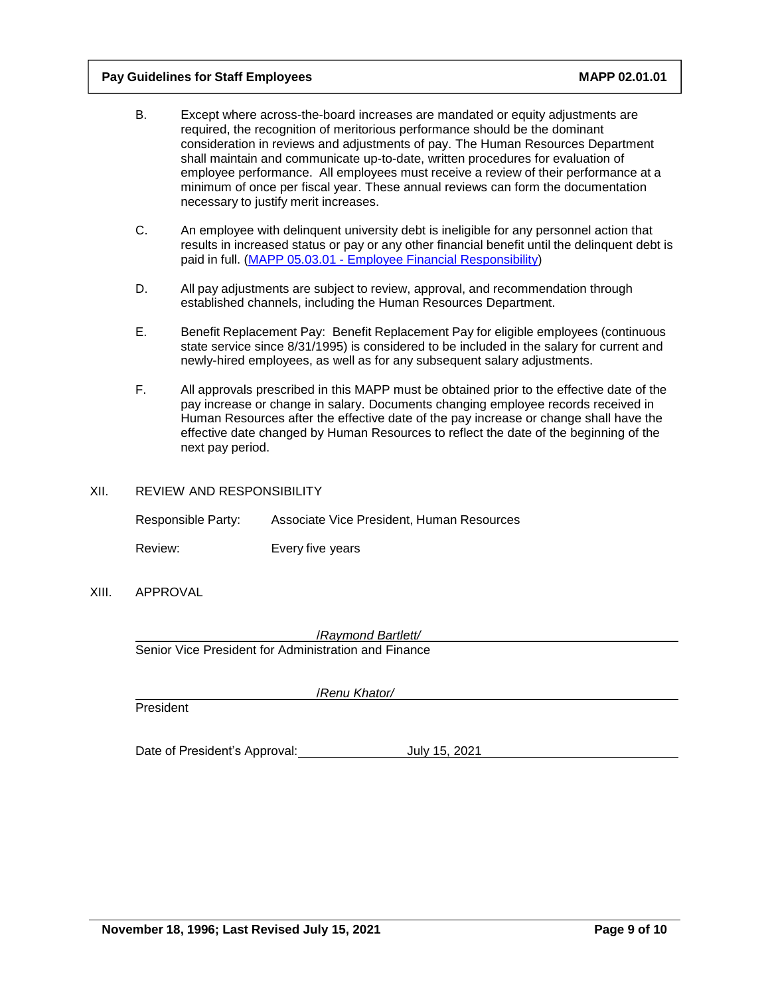### **Pay Guidelines for Staff Employees MAPP 02.01.01**

- B. Except where across-the-board increases are mandated or equity adjustments are required, the recognition of meritorious performance should be the dominant consideration in reviews and adjustments of pay. The Human Resources Department shall maintain and communicate up-to-date, written procedures for evaluation of employee performance. All employees must receive a review of their performance at a minimum of once per fiscal year. These annual reviews can form the documentation necessary to justify merit increases.
- C. An employee with delinquent university debt is ineligible for any personnel action that results in increased status or pay or any other financial benefit until the delinquent debt is paid in full. (MAPP 05.03.01 - Employee Financial [Responsibility\)](https://www.uh.edu/policies/_docs/mapp/05/050301.pdf)
- D. All pay adjustments are subject to review, approval, and recommendation through established channels, including the Human Resources Department.
- E. Benefit Replacement Pay: Benefit Replacement Pay for eligible employees (continuous state service since 8/31/1995) is considered to be included in the salary for current and newly-hired employees, as well as for any subsequent salary adjustments.
- F. All approvals prescribed in this MAPP must be obtained prior to the effective date of the pay increase or change in salary. Documents changing employee records received in Human Resources after the effective date of the pay increase or change shall have the effective date changed by Human Resources to reflect the date of the beginning of the next pay period.

#### XII. REVIEW AND RESPONSIBILITY

| Responsible Party: | Associate Vice President, Human Resources |
|--------------------|-------------------------------------------|
| Review:            | Every five years                          |

XIII. APPROVAL

/*Raymond Bartlett/* Senior Vice President for Administration and Finance

President

/*Renu Khator/*

Date of President's Approval: July 15, 2021